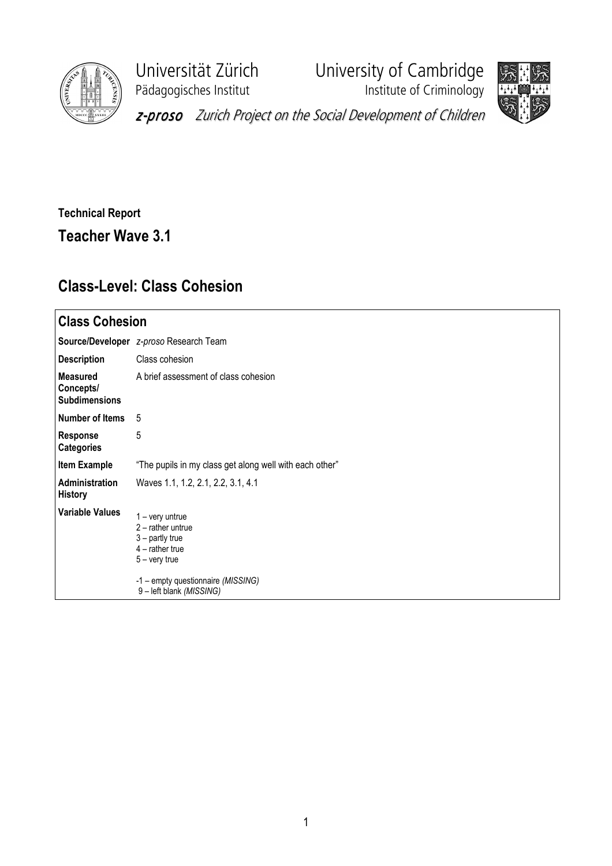

Pädagogisches Institut **Institute of Criminology** 

Universität Zürich University of Cambridge





z-proso Zurich Project on the Social Development of Children

## Technical Report Teacher Wave 3.1

## Class-Level: Class Cohesion

| <b>Class Cohesion</b>                         |                                                                                                                                                                       |  |  |  |  |
|-----------------------------------------------|-----------------------------------------------------------------------------------------------------------------------------------------------------------------------|--|--|--|--|
|                                               | Source/Developer z-proso Research Team                                                                                                                                |  |  |  |  |
| <b>Description</b>                            | Class cohesion                                                                                                                                                        |  |  |  |  |
| Measured<br>Concepts/<br><b>Subdimensions</b> | A brief assessment of class cohesion                                                                                                                                  |  |  |  |  |
| Number of Items                               | -5                                                                                                                                                                    |  |  |  |  |
| <b>Response</b><br><b>Categories</b>          | 5                                                                                                                                                                     |  |  |  |  |
| <b>Item Example</b>                           | "The pupils in my class get along well with each other"                                                                                                               |  |  |  |  |
| Administration<br><b>History</b>              | Waves 1.1, 1.2, 2.1, 2.2, 3.1, 4.1                                                                                                                                    |  |  |  |  |
| <b>Variable Values</b>                        | $1 -$ very untrue<br>$2$ – rather untrue<br>$3$ – partly true<br>$4$ – rather true<br>$5 -$ very true<br>-1 - empty questionnaire (MISSING)<br>9-left blank (MISSING) |  |  |  |  |